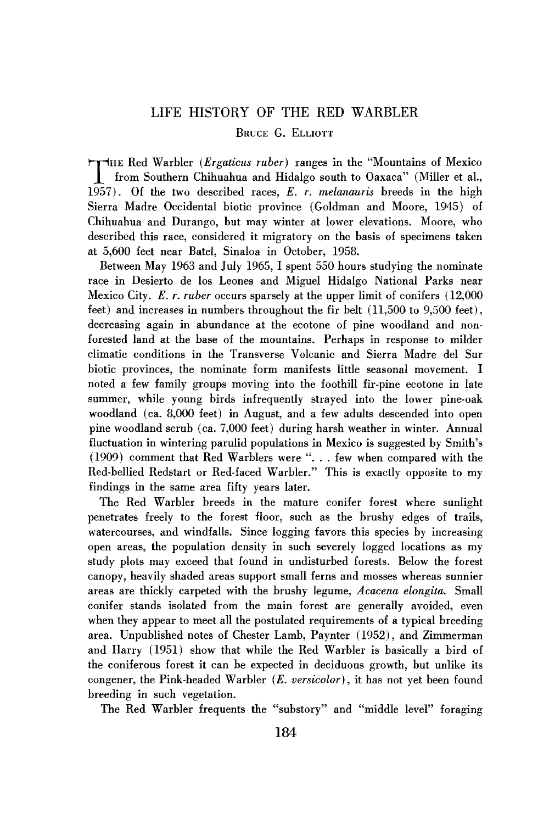# **LIFE HISTORY OF THE RED WARBLER BRUCE G. ELLIOTT**

**T** HE Red Warbler (*Ergaticus ruber*) ranges in the "Mountains of Mexico from Southern Chihuahua and Hidalgo south to Oaxaca" (Miller et al.,  $\frac{1}{100}$ **1957). Of the two described races, E. r. melanauris breeds in the high Sierra Madre Occidental biotic province (Goldman and Moore, 1945) of Chihuahua and Durango, but may winter at lower elevations. Moore, who described this race, considered it migratory on the basis of specimens taken at 5,600 feet near Batel, Sinaloa in October, 1958.** 

**Between May 1963 and July 1965, I spent 550 hours studying the nominate race in Desierto de 10s Leones and Miguel Hidalgo National Parks near Mexico City. E. r. ruber occurs sparsely at the upper limit of conifers (12,000 feet) and increases in numbers throughout the fir belt (11,500 to 9,500 feet), decreasing again in abundance at the ecotone of pine woodland and nonforested land at the base of the mountains. Perhaps in response to milder climatic conditions in the Transverse Volcanic and Sierra Madre de1 Sur biotic provinces, the nominate form manifests little seasonal movement. I noted a few family groups moving into the foothill fir-pine ecotone in late summer, while young birds infrequently strayed into the lower pine-oak woodland (ca. 8,000 feet) in August, and a few adults descended into open pine woodland scrub (ca. 7,000 feet) during harsh weather in winter. Annual**  fluctuation in wintering parulid populations in Mexico is suggested by Smith's **(1909) comment that Red Warblers were ". . . few when compared with the Red-bellied Redstart or Red-faced Warbler." This is exactly opposite to my findings in the same area fifty years later.** 

**The Red Warbler breeds in the mature conifer forest where sunlight penetrates freely to the forest floor, such as the brushy edges of trails, watercourses, and windfalls. Since logging favors this species by increasing open areas, the population density in such severely logged locations as my study plots may exceed that found in undisturbed forests. Below the forest canopy, heavily shaded areas support small ferns and mosses whereas sunnier**  areas are thickly carpeted with the brushy legume, *Acacena elongita*. Small **conifer stands isolated from the main forest are generally avoided, even when they appear to meet all the postulated requirements of a typical breeding area. Unpublished notes of Chester Lamb, Paynter (1952)) and Zimmerman**  and Harry (1951) show that while the Red Warbler is basically a bird of **the coniferous forest it can be expected in deciduous growth, but unlike its congener, the Pink-headed Warbler (E. versicolor) , it has not yet been found breeding in such vegetation.** 

**The Red Warbler frequents the "substory" and "middle level" foraging**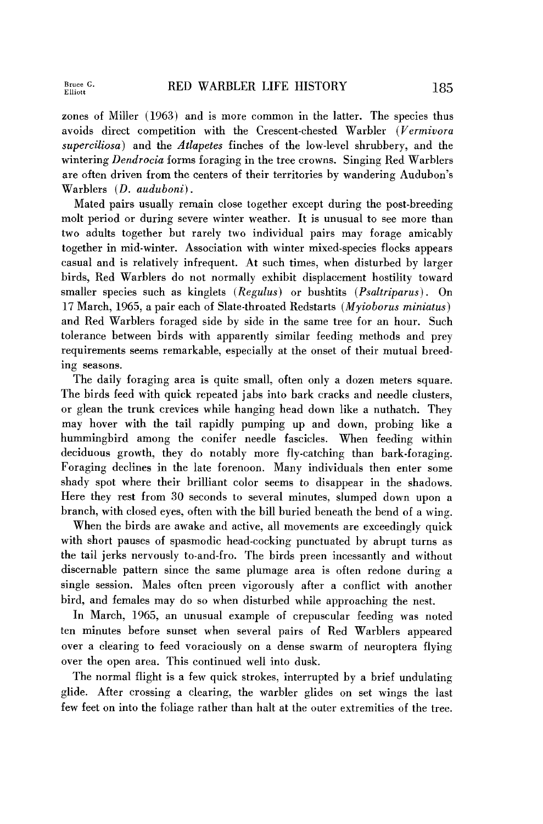**zones of Miller (1963) and is more common in the latter. The species thus avoids direct competition with the Crescent-chested Warbler (Vermivora**  superciliosa) and the *Atlapetes* finches of the low-level shrubbery, and the **wintering Dendrocia forms foraging in the tree crowns. Singing Red Warblers**  are often driven from the centers of their territories by wandering Audubon's **Warblers (D. auduboni).** 

**Mated pairs usually remain close together except during the post-breeding molt period or during severe winter weather. It is unusual to see more than two adults together but rarely two individual pairs may forage amicably together in mid-winter. Association with winter mixed-species flocks appears casual and is relatively infrequent. At such times, when disturbed by larger birds, Red Warblers do not normally exhibit displacement hostility toward smaller species such as kinglets (Regulus) or bushtits (Psaltriparus) . On 17 March, 1965, a pair each of Slate-throated Redstarts (Myioborus miniatus) and Red Warblers foraged side by side in the same tree for an hour. Such tolerance between birds with apparently similar feeding methods and prey requirements seems remarkable, especially at the onset of their mutual breeding seasons.** 

**The daily foraging area is quite small, often only a dozen meters square. The birds feed with quick repeated jabs into bark cracks and needle clusters, or glean the trunk crevices while hanging head down like a nuthatch. They may hover with the tail rapidly pumping up and down, probing like a hummingbird among the conifer needle fascicles. When feeding within deciduous growth, they do notably more fly-catching than bark-foraging. Foraging declines in the late forenoon. Many individuals then enter some shady spot where their brilliant color seems to disappear in the shadows. Here they rest from 30 seconds to several minutes, slumped down upon a branch, with closed eyes, often with the bill buried beneath the bend of a wing.** 

**When the birds are awake and active, all movements are exceedingly quick with short pauses of spasmodic head-cocking punctuated by abrupt turns as the tail jerks nervously to-and-fro. The birds preen incessantly and without discernable pattern since the same plumage area is often redone during a single session. Males often preen vigorously after a conflict with another bird, and females may do so when disturbed while approaching the nest.** 

**In March, 1965, an unusual example of crepuscular feeding was noted ten minutes before sunset when several pairs of Red Warblers appeared over a clearing to feed voraciously on a dense swarm of neuroptera flying over the open area. This continued well into dusk.** 

**The normal flight is a few quick strokes, interrupted by a brief undulating glide. After crossing a clearing, the warbler glides on set wings the last few feet on into the foliage rather than halt at the outer extremities of the tree.** 

**Bruce G.**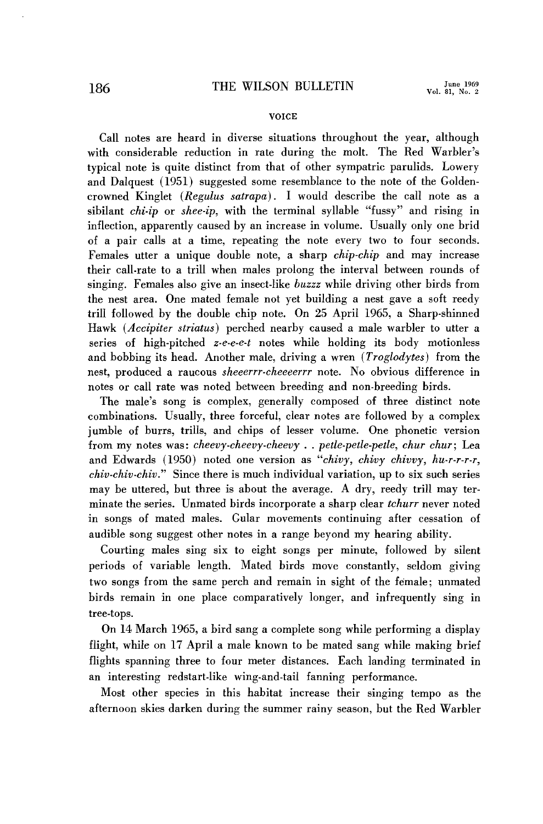#### **VOICE**

**Call notes are heard in diverse situations throughout the year, although**  with considerable reduction in rate during the molt. The Red Warbler's **typical note is quite distinct from that of other sympatric parulids. Lowery and Dalquest (1951) suggested some resemblance to the note of the Goldencrowned Kinglet (Regulus satrupa) . I would describe the call note as a sibilant chi-ip or shee-ip, with the terminal syllable "fussy" and rising in inflection, apparently caused by an increase in volume. Usually only one brid of a pair calls at a time, repeating the note every two to four seconds. Females utter a unique double note, a sharp chip-chip and may increase their call-rate to a trill when males prolong the interval between rounds of singing. Females also give an insect-like buzzz while driving other birds from the nest area. One mated female not yet building a nest gave a soft reedy trill followed by the double chip note. On 25 April 1965, a Sharp-shinned Hawk (Accipiter striatus) perched nearby caused a male warbler to utter a series of high-pitched z-e-e-e-t notes while holding its body motionless and bobbing its head. Another male, driving a wren (Troglodytes) from the nest, produced a raucous sheeerrr-cheeeerrr note. No obvious difference in notes or call rate was noted between breeding and non-breeding birds.** 

The male's song is complex, generally composed of three distinct note **combinations. Usually, three forceful, clear notes are followed by a complex jumble of burrs, trills, and chips of lesser volume. One phonetic version from my notes was: cheevy-cheevy-cheevy . . petle-petle-petle, chur chur; Lea and Edwards (1950) noted one version as "chivy, chivy chivvy, hu-r-r-r-r, chiv-chiv-chiv." Since there is much individual variation, up to six such series may be uttered, but three is about the average. A dry, reedy trill may terminate the series. Unmated birds incorporate a sharp clear tchurr never noted in songs of mated males. Gular movements continuing after cessation of audible song suggest other notes in a range beyond my hearing ability.** 

**Courting males sing six to eight songs per minute, followed by silent**  periods of variable length. Mated birds move constantly, seldom giving **two songs from the same perch and remain in sight of the female; unmated birds remain in one place comparatively longer, and infrequently sing in tree-tops.** 

**On 14 March 1965, a bird sang a complete song while performing a display flight, while on 17 April a male known to be mated sang while making brief flights spanning three to four meter distances. Each landing terminated in an interesting redstart-like wing-and-tail fanning performance.** 

**Most other species in this habitat increase their singing tempo as the afternoon skies darken during the summer rainy season, but the Red Warbler**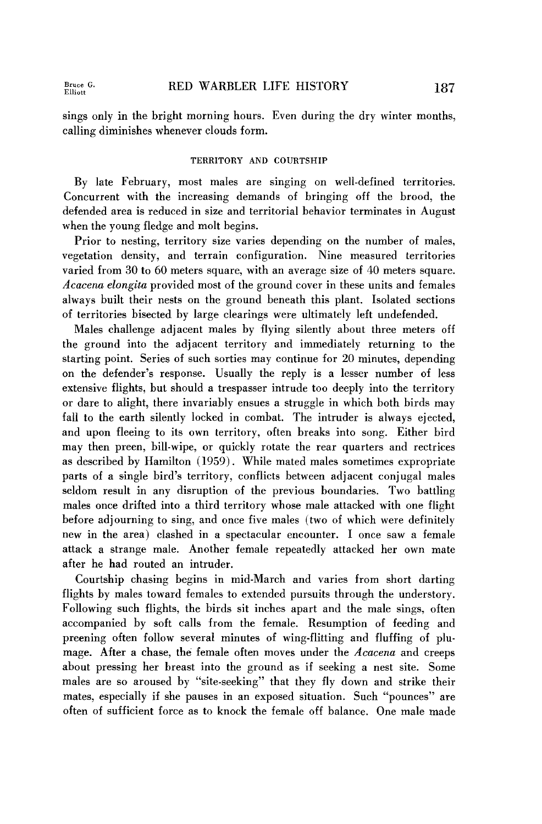**sings only in the bright morning hours. Even during the dry winter months, calling diminishes whenever clouds form.** 

#### **TERRITORY AND COURTSHIP**

**By late February, most males are singing on well-defined territories. Concurrent with the increasing demands of bringing off the brood, the defended area is reduced in size and territorial behavior terminates in August when the young fledge and molt begins.** 

**Prior to nesting, territory size varies depending on the number of males, vegetation density, and terrain configuration. Nine measured territories varied from 30 to 60 meters square, with an average size of 40 meters square. Acacenu elongita provided most of the ground cover in these units and females always built their nests on the ground beneath this plant. Isolated sections of territories bisected by large clearings were ultimately left undefended.** 

Males challenge adjacent males by flying silently about three meters off **the ground into the adjacent territory and immediately returning to the starting point. Series of such sorties may continue for 20 minutes, depending**  on the defender's response. Usually the reply is a lesser number of less **extensive flights, but should a trespasser intrude too deeply into the territory or dare to alight, there invariably ensues a struggle in which both birds may fall to the earth silently locked in combat. The intruder is always ejected, and upon fleeing to its own territory, often breaks into song. Either bird may then preen, bill-wipe, or quickly rotate the rear quarters and rectrices**  as described by Hamilton (1959). While mated males sometimes expropriate parts of a single bird's territory, conflicts between adjacent conjugal males **seldom result in any disruption of the previous boundaries. Two battling males once drifted into a third territory whose male attacked with one flight before adjourning to sing, and once five males (two of which were definitely new in the area) clashed in a spectacular encounter. I once saw a female attack a strange male. Another female repeatedly attacked her own mate after he had routed an intruder.** 

**Courtship chasing begins in mid-March and varies from short darting flights by males toward females to extended pursuits through the understory. Following such flights, the birds sit inches apart and the male sings, often accompanied by soft calls from the female. Resumption of feeding and preening often follow several minutes of wing-flitting and fluffing of plumage. After a chase, the female often moves under the Acacena and creeps about pressing her breast into the ground as if seeking a nest site. Some males are so aroused by "site-seeking" that they fly down and strike their mates, especially if she pauses in an exposed situation. Such "pounces" are often of sufficient force as to knock the female off balance. One male made**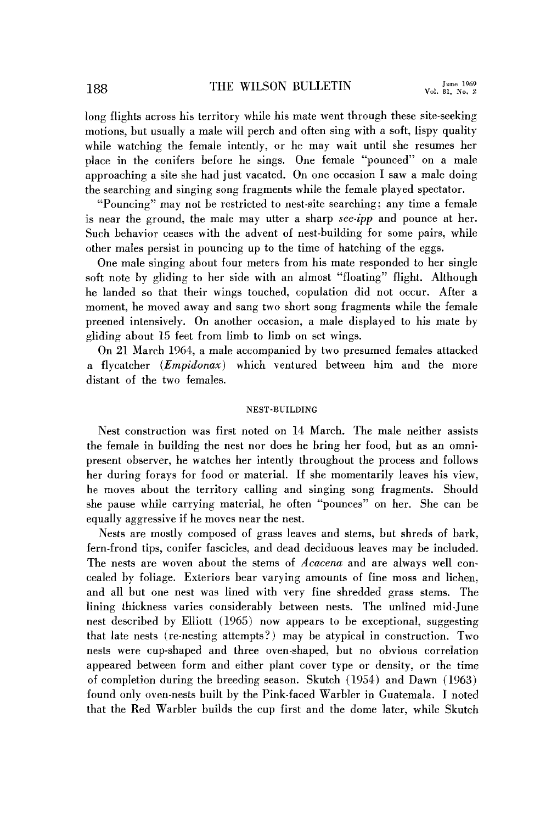**long flights across his territory while his mate went through these site-seeking motions, but usually a male will perch and often sing with a soft, lispy quality while watching the female intently, or he may wait until she resumes her place in the conifers before he sings. One female "pounced" on a male approaching a site she had just vacated. On one occasion I saw a male doing the searching and singing song fragments while the female played spectator.** 

**"Pouncing" may not be restricted to nest-site searching; any time a female is near the ground, the male may utter a sharp see-ipp and pounce at her. Such behavior ceases with the advent of nest-building for some pairs, while other males persist in pouncing up to the time of hatching of the eggs.** 

**One male singing about four meters from his mate responded to her single soft note by gliding to her side with an almost "floating" flight. Although he landed so that their wings touched, copulation did not occur. After a moment, he moved away and sang two short song fragments while the female preened intensively. On another occasion, a male displayed to his mate by gliding about 15 feet from limb to limb on set wings.** 

**On 21 March 1964, a male accompanied by two presumed females attacked a flycatcher (Empidonax) which ventured between him and the more distant of the two females.** 

### **NEST-BUILDING**

**Nest construction was first noted on 14 March. The male neither assists the female in building the nest nor does he bring her food, but as an omnipresent observer, he watches her intently throughout the process and follows her during forays for food or material. If she momentarily leaves his view, he moves about the territory calling and singing song fragments. Should she pause while carrying material, he often "pounces" on her. She can be equally aggressive if he moves near the nest.** 

**Nests are mostly composed of grass leaves and stems, but shreds of bark, fern-frond tips, conifer fascicles, and dead deciduous leaves may be included. The nests are woven about the stems of Acacena' and are always well concealed by foliage. Exteriors bear varying amounts of fine moss and lichen, and all but one nest was lined with very fine shredded grass stems. The lining thickness varies considerably between nests. The unlined mid-June nest described by Elliott (1965) now appears to be exceptional, suggesting that late nests (re-nesting attempts?) may be atypical in construction. Two nests were cup-shaped and three oven-shaped, but no obvious correlation appeared between form and either plant cover type or density, or the time of completion during the breeding season. Skutch (1954) and Dawn (1963) found only oven-nests built by the Pink-faced Warbler in Guatemala. I noted that the Red Warbler builds the cup first and the dome later, while Skutch**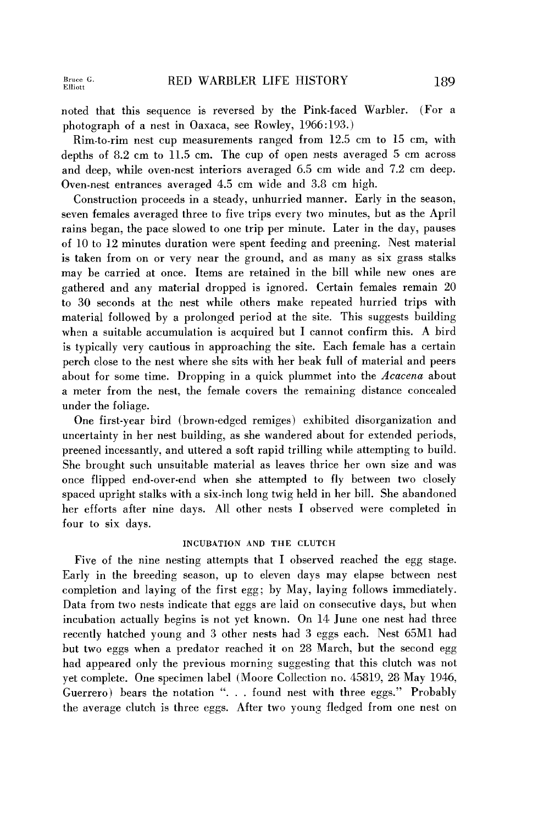Bruce G. Elliott

**noted that this sequence is reversed by the Pink-faced Warbler. (For a photograph of a nest in Oaxaca; see Rowley, 1966:193.)** 

**Rim-to-rim nest cup measurements ranged from 12.5 cm to 15 cm, with**  depths of 8.2 cm to 11.5 cm. The cup of open nests averaged 5 cm across **and deep, while oven-nest interiors averaged 6.5 cm wide and 7.2 cm deep. Oven-nest entrances averaged 4.5 cm wide and 3.8 cm high.** 

**Construction proceeds in a steady, unhurried manner. Early in the season, seven females averaged three to five trips every two minutes, but as the April rains began, the pace slowed to one trip per minute. Later in the day, pauses of 10 to 12 minutes duration were spent feeding and preening. Nest material is taken from on or very near the ground, and as many as six grass stalks may be carried at once. Items are retained in the bill while new ones are gathered and any material dropped is ignored. Certain females remain 20 to 30 seconds at the nest while others make repeated hurried trips with material followed by a prolonged period at the site. This suggests building when a suitable accumulation is acquired but I cannot confirm this. A bird is typically very cautious in approaching the site. Each female has a certain perch close to the nest where she sits with her beak full of material and peers about for some time. Dropping in a quick plummet into the Acacena about a meter from the nest, the female covers the remaining distance concealed under the foliage.** 

**One first-year bird (brown-edged remiges) exhibited disorganization and**  uncertainty in her nest building, as she wandered about for extended periods, **preened incessantly, and uttered a soft rapid trilling while attempting to build. She brought such unsuitable material as leaves thrice her own size and was once flipped end-over-end when she attempted to fly between two closely spaced upright stalks with a six-inch long twig held in her bill. She abandoned her efforts after nine days. All other nests I observed were completed in four to six days.** 

## **INCUBATION AND THE CLUTCH**

**Five of the nine nesting attempts that I observed reached the egg stage. Early in the breeding season, up to eleven days may elapse between nest completion and laying of the first egg; by May, laying follows immediately. Data from two nests indicate that eggs are laid on consecutive days, but when incubation actually begins is not yet known. On 14 June one nest had three recently hatched young and 3 other nests had 3 eggs each. Nest 65Ml had but two eggs when a predator reached it on 28 March, but the second egg had appeared only the previous morning suggesting that this clutch was not**  yet complete. One specimen label (Moore Collection no. 45819, 28 May 1946, **Guerrero) bears the notation ". . . found nest with three eggs." Probably the average clutch is three eggs. After two young fledged from one nest on**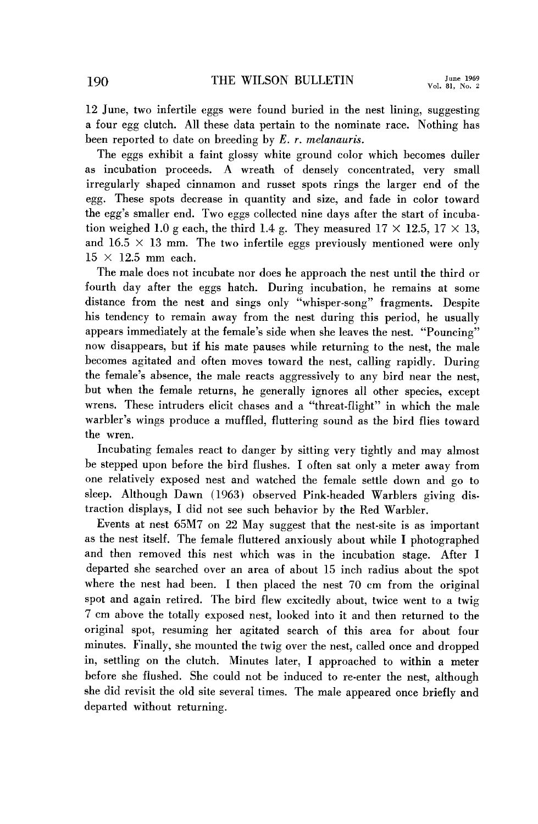**I2 June, two infertile eggs were found buried in the nest lining, suggesting a four egg clutch. All these data pertain to the nominate race. Nothing has been reported to date on breeding by E. r. melanauris.** 

**The eggs exhibit a faint glossy white ground color which becomes duller as incubation proceeds. A wreath of densely concentrated, very small irregularly shaped cinnamon and russet spots rings the larger end of the egg. These spots decrease in quantity and size, and fade in color toward**  the egg's smaller end. Two eggs collected nine days after the start of incuba**tion weighed 1.0 g each, the third 1.4 g. They measured**  $17 \times 12.5$ **,**  $17 \times 13$ **,** and  $16.5 \times 13$  mm. The two infertile eggs previously mentioned were only **15 X 12.5 mm each.** 

**The male does not incubate nor does he approach the nest until the third or fourth day after the eggs hatch. During incubation, he remains at some distance from the nest and sings only "whisper-song" fragments. Despite his tendency to remain away from the nest during this period, he usually**  appears immediately at the female's side when she leaves the nest. "Pouncing" **now disappears, but if his mate pauses while returning to the nest, the male becomes agitated and often moves toward the nest, calling rapidly. During**  the female's absence, the male reacts aggressively to any bird near the nest, **but when the female returns, he generally ignores all other species, except wrens. These intruders elicit chases and a "threat-flight" in which the male**  warbler's wings produce a muffled, fluttering sound as the bird flies toward **the wren.** 

**Incubating females react to danger by sitting very tightly and may almost be stepped upon before the bird flushes. I often sat only a meter away from one relatively exposed nest and watched the female settle down and go to sleep. Although Dawn (1963) observed Pink-headed Warblers giving distraction displays, I did not see such behavior by the Red Warbler.** 

**Events at nest 65M7 on 22 May suggest that the nest-site is as important as the nest itself. The female fluttered anxiously about while I photographed and then removed this nest which was in the incubation stage. After I departed she searched over an area of about 15 inch radius about the spot where the nest had been. I then placed the nest 70 cm from the original spot and again retired. The bird flew excitedly about, twice went to a twig 7 cm above the totally exposed nest, looked into it and then returned to the original spot, resuming her agitated search of this area for about four minutes. Finally, she mounted the twig over the nest, called once and dropped in, settling on the clutch. Minutes later, I approached to within a meter before she flushed. She could not be induced to re-enter the nest, although she did revisit the old site several times. The male appeared once briefly and departed without returning.**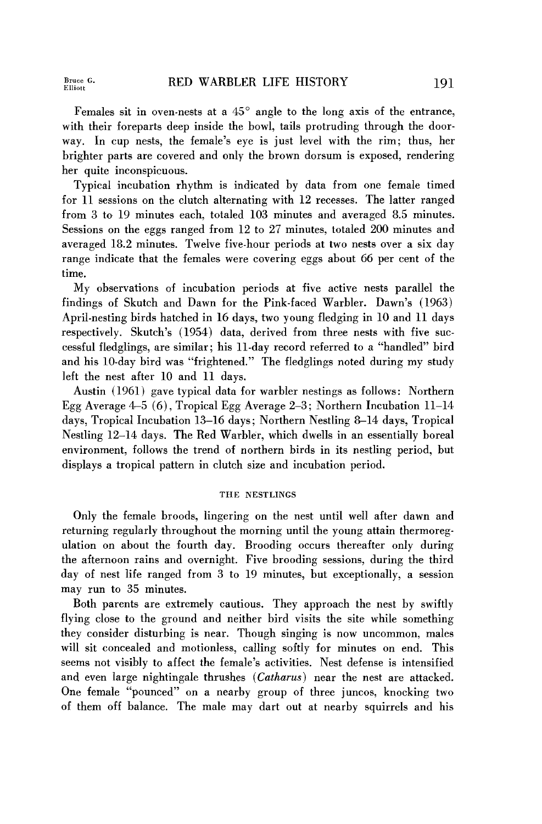**Females sit in oven-nests at a 45" angle to the long axis of the entrance, with their foreparts deep inside the bowl, tails protruding through the doorway. In cup nests, the females ' eye is just level with the rim; thus, her brighter parts are covered and only the brown dorsum is exposed, rendering her quite inconspicuous.** 

**Typical incubation rhythm is indicated by data from one female timed for 11 sessions on the clutch alternating with 12 recesses. The latter ranged from 3 to 19 minutes each, totaled 103 minutes and averaged 8.5 minutes. Sessions on the eggs ranged from 12 to 27 minutes, totaled 200 minutes and**  averaged 18.2 minutes. Twelve five-hour periods at two nests over a six day **range indicate that the females were covering eggs about 66 per cent of the time.** 

**My observations of incubation periods at five active nests parallel the findings of Skutch and Dawn for the Pink-faced Warbler. Dawns ' (1963) April-nesting birds hatched in 16 days, two young fledging in 10 and 11 days**  respectively. Skutch's (1954) data, derived from three nests with five suc**cessful fledglings, are similar; his 11-day record referred to a "handled" bird and his lo-day bird was "frightened." The fledglings noted during my study left the nest after 10 and 11 days.** 

**Austin (1961) gave typical data for warbler nestings as follows: Northern Egg Average 4-5 (6)) Tropical Egg A verage 2-3; Northern Incubation 11-14 days, Tropical Incubation 13-16 days; Northern Nestling &14 days, Tropical**  Nestling 12-14 days. The Red Warbler, which dwells in an essentially boreal **environment, follows the trend of northern birds in its nestling period, but displays a tropical pattern in clutch size and incubation period.** 

#### **THE NESTLINGS**

**Only the female broods, lingering on the nest until well after dawn and returning regularly throughout the morning until the young attain thermoregulation on about the fourth day. Brooding occurs thereafter only during the afternoon rains and overnight. Five brooding sessions, during the third day of nest life ranged from 3 to 19 minutes, but exceptionally, a session may run to 35 minutes.** 

**Both parents are extremely cautious. They approach the nest by swiftly flying close to the ground and neither bird visits the site while something they consider disturbing is near. Though singing is now uncommon, males will sit concealed and motionless, calling softly for minutes on end. This seems not visibly to affect the females ' activities. Nest defense is intensified and even large nightingale thrushes (Catharus) near the nest are attacked. One female "pounced" on a nearby group of three juncos, knocking two of them off balance. The male may dart out at nearby squirrels and his** 

**Bruce G.**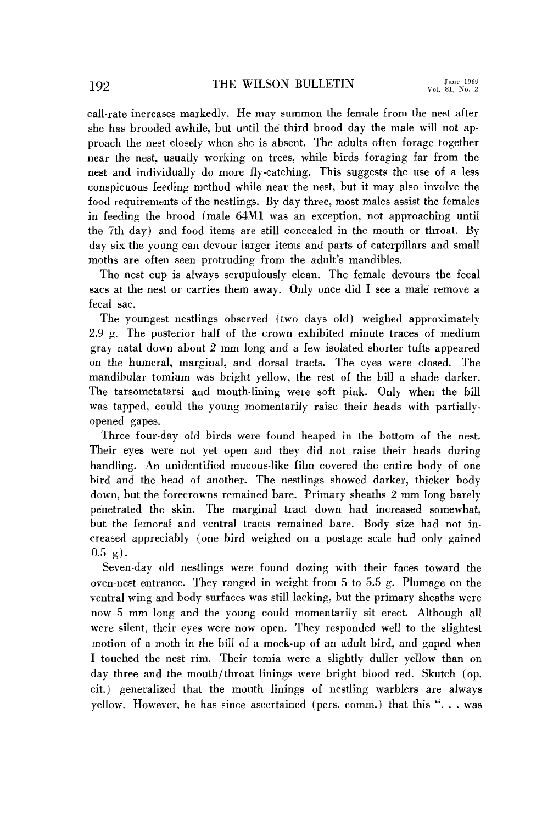**call-rate increases markedly. He may summon the female from the nest after she has brooded awhile, but until the third brood day the male will not approach the nest closely when she is absent. The adults often forage together near the nest, usually working on trees, while birds foraging far from the nest and individually do more fly-catching. This suggests the use of a less conspicuous feeding method while near the nest, but it may also involve the food requirements of the nestlings. By day three, most males assist the females in feeding the brood (male 64Ml was an exception, not approaching until the 7th day) and food items are still concealed in the mouth or throat. By day six the young can devour larger items and parts of caterpillars and small**  moths are often seen protruding from the adult's mandibles.

**The nest cup is always scrupulously clean. The female devours the fecal sacs at the nest or carries them away. Only once did I see a male remove a fecal sac.** 

**The youngest nestlings observed (two days old) weighed approximately 2.9 g. The posterior half of the crown exhibited minute traces of medium gray natal down about 2 mm long and a few isolated shorter tufts appeared on the humeral, marginal, and dorsal tracts. The eyes were closed. The mandibular tomium was bright yellow, the rest of the bill a shade darker. The tarsometatarsi and mouth-lining were soft pink. Only when the bill was tapped, could the young momentarily raise their heads with partiallyopened gapes.** 

**Three four-day old birds were found heaped in the bottom of the nest. Their eyes were not yet open and they did not raise their heads during handling. An unidentified mucous-like film covered the entire body of one bird and the head of another. The nestlings showed darker, thicker body down, but the forecrowns remained bare. Primary sheaths 2 mm long barely penetrated the skin. The marginal tract down had increased somewhat, but the femoral and ventral tracts remained bare. Body size had not increased appreciably (one bird weighed on a postage scale had only gained**   $(0.5 \text{ g}).$ 

**Seven-day old nestlings were found dozing with their faces toward the oven-nest entrance. They ranged in weight from 5 to 5.5 g. Plumage on the ventral wing and body surfaces was still lacking, but the primary sheaths were now 5 mm long and the young could momentarily sit erect. Although all were silent, their eyes were now open. They responded well to the slightest motion of a moth in the bill of a mock-up of an adult bird, and gaped when I touched the nest rim. Their tomia were a slightly duller yellow than on day three and the mouth/throat linings were bright blood red. Skutch (op. cit.) generalized that the mouth linings of nestling warblers are always yellow. However, he has since ascertained (pers. comm.) that this ". . . was**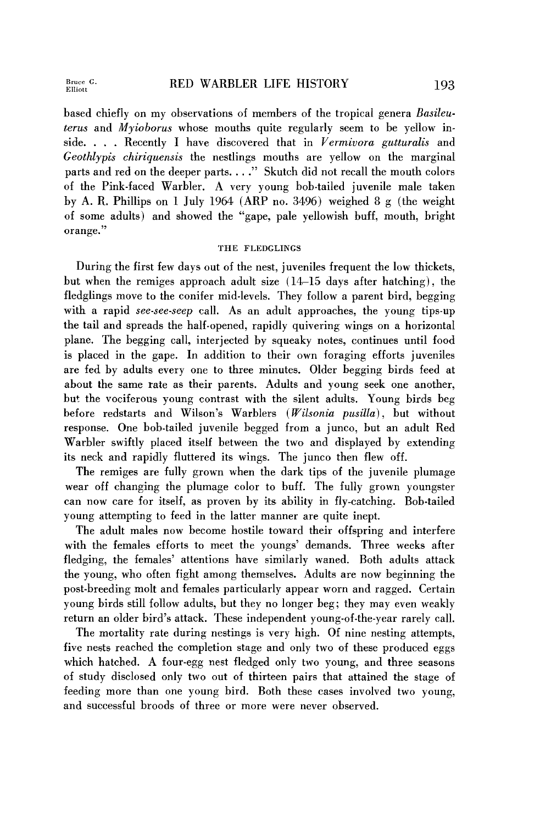**Bruce G.** 

**based chiefly on my observations of members of the tropical genera Basileu**terus and *Myioborus* whose mouths quite regularly seem to be yellow in**side. . . . Recently I have discovered that in Vermivora gutturalis and Geothlypis chiriquensis the nestlings mouths are yellow on the marginal parts and red on the deeper parts. . . ." Skutch did not recall the mouth colors of the Pink-faced Warbler. A very young bob-tailed juvenile male taken by A. R. Phillips on 1 July 1964 (ARP no. 3496) weighed 8 g (the weight of some adults) and showed the "gape, pale yellowish buff, mouth, bright orange."** 

#### **THE FLEDGLINGS**

**During the first few days out of the nest, juveniles frequent the low thickets, but when the remiges approach adult size (14-15 days after hatching), the fledglings move to the conifer mid-levels. They follow a parent bird, begging with a rapid see-see-seep call. As an adult approaches, the young tips-up the tail and spreads the half-opened, rapidly quivering wings on a horizontal plane. The begging call, interjected by squeaky notes, continues until food is placed in the gape. In addition to their own foraging efforts juveniles are fed by adults every one to three minutes. Older begging birds feed at about the same rate as their parents. Adults and young seek one another, but the vociferous young contrast with the silent adults. Young birds beg before redstarts and Wilson's Warblers** (Wilsonia pusilla), but without **response. One bob-tailed juvenile begged from a junco, but an adult Red Warbler swiftly placed itself between the two and displayed by extending its neck and rapidly fluttered its wings. The junco then flew off.** 

**The remiges are fully grown when the dark tips of the juvenile plumage wear off changing the plumage color to buff. The fully grown youngster**  can now care for itself, as proven by its ability in fly-catching. Bob-tailed **young attempting to feed in the latter manner are quite inept.** 

**The adult males now become hostile toward their offspring and interfere with the females efforts to meet the youngs' demands. Three weeks after fledging, the females' attentions have similarly waned. Both adults attack the young, who often fight among themselves. Adults are now beginning the post-breeding molt and females particularly appear worn and ragged. Certain young birds still follow adults, but they no longer beg; they may even weakly**  return an older bird's attack. These independent young-of-the-year rarely call.

**The mortality rate during nestings is very high. Of nine nesting attempts, five nests reached the completion stage and only two of these produced eggs which hatched. A four-egg nest fledged only two young, and three seasons of study disclosed only two out of thirteen pairs that attained the stage of feeding more than one young bird. Both these cases involved two young, and successful broods of three or more were never observed.**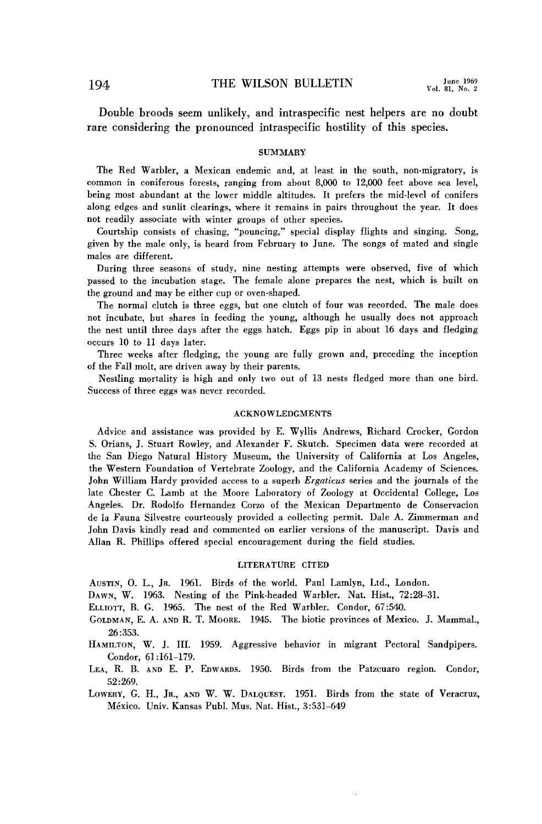**Double broods seem unlikely, and intraspecific nest helpers are no doubt rare considering the pronounced intraspecific hostility of this species.** 

#### **SUMMARY**

**The Red Warbler, a Mexican endemic and, at least in the south, non-migratory, is common in coniferous forests, ranging from about 8,000 to 12,000 feet above sea level, being most abundant at the lower middle altitudes. It prefers the mid-level of conifers along edges and sunlit clearings, where it remains in pairs throughout the year. It does not readily associate with winter groups of other species.** 

**Courtship consists of chasing, "pouncing," special display flights and singing. Song, given by the male only, is heard from February to June. The songs of mated and single males are different.** 

**During three seasons of study, nine nesting attempts were observed, five of which passed to the incubation stage. The female alone prepares the nest, which is built on the ground and may be either cup or oven-shaped.** 

**The normal clutch is three eggs, but one clutch of four was recorded. The male does not incubate, but shares in feeding the young, although he usually does not approach the nest until three days after the eggs hatch. Eggs pip in about 16 days and fledging occurs 10 to 11 days later.** 

**Three weeks after fledging, the young are fully grown and, preceding the inception of the Fall molt, are driven away by their parents.** 

**Nestling mortality is high and only two out of 13 nests fledged more than one bird. Success of three eggs was never recorded.** 

#### **ACKNOWLEDGMENTS**

Advice and assistance was provided by E. Wyllis Andrews, Richard Crocker, Gordon **S. Orians, J. Stuart Rowley, and Alexander F. Skutch. Specimen data were recorded at the San Diego Natural History Museum, the University of California at Los Angeles, the Western Foundation of Vertebrate Zoology, and the California Academy of Sciences.**  John William Hardy provided access to a superb *Ergaticus* series and the journals of the **late Chester C. Lamb at the Moore Laboratory of Zoology at Occidental College, Los**  Angeles. Dr. Rodolfo Hernandez Corzo of the Mexican Departmento de Conservacion **de la Fauna Silvestre courteously provided a collecting permit. Dale A. Zimmerman and John Davis kindly read and commented on earlier versions of the manuscript. Davis and Allan R. Phillips offered special encouragement during the field studies.** 

#### **LITERATURE CITED**

**AUSTIN, 0. L., JR. 1961. Birds of the world. Paul Lamlyn, Ltd., London.** 

**DAWN, W. 1963. Nesting of the Pink-headed Warbler. Nat. Hist., 72:28-31.** 

**ELLIOTT, B. G. 1965. The nest of the Red Warbler. Condor, 67:54Q.** 

**GOLDMAN, E. A. AND R. T. MOORE. 1945. The biotic provinces of Mexico. J. Mammal., 26:353.** 

- **HAMILTON, W. J. III. 1959. Aggressive behavior in migrant Pectoral Sandpipers. Condor, 61:161-179.**
- **LEA, R. B. AND E. P. &WARDS. 1950. Birds from the Patzcuaro region. Condor, 52:269.**

**LOWERY, G. H., JR., AND W. W. DALQUEST. 1951. Birds from the state of Veracruz, Mexico. Univ. Kansas Publ. Mus. Nat. Hist., 3:531-649**